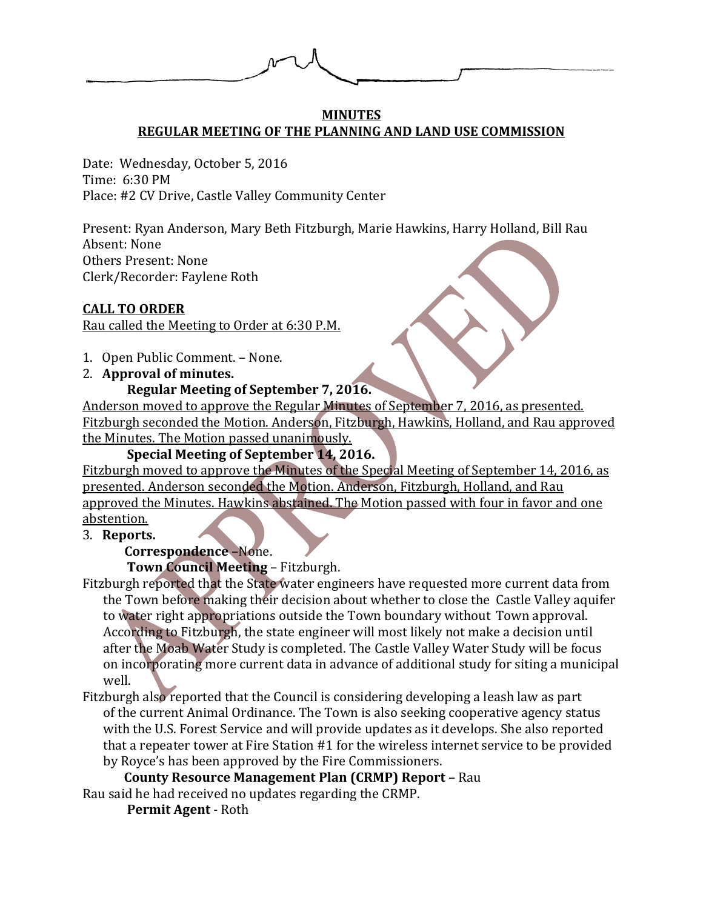#### **MINUTES REGULAR MEETING OF THE PLANNING AND LAND USE COMMISSION**

Date: Wednesday, October 5, 2016 Time: 6:30 PM Place: #2 CV Drive, Castle Valley Community Center

Present: Ryan Anderson, Mary Beth Fitzburgh, Marie Hawkins, Harry Holland, Bill Rau Absent: None Others Present: None Clerk/Recorder: Faylene Roth

#### **CALL TO ORDER**

Rau called the Meeting to Order at 6:30 P.M.

- 1. Open Public Comment. None.
- 2. **Approval of minutes.**

#### **Regular Meeting of September 7, 2016.**

Anderson moved to approve the Regular Minutes of September 7, 2016, as presented. Fitzburgh seconded the Motion. Anderson, Fitzburgh, Hawkins, Holland, and Rau approved the Minutes. The Motion passed unanimously.

#### **Special Meeting of September 14, 2016.**

Fitzburgh moved to approve the Minutes of the Special Meeting of September 14, 2016, as presented. Anderson seconded the Motion. Anderson, Fitzburgh, Holland, and Rau approved the Minutes. Hawkins abstained. The Motion passed with four in favor and one abstention.

3. **Reports.**

#### **Correspondence** –None.

**Town Council Meeting** – Fitzburgh.

Fitzburgh reported that the State water engineers have requested more current data from the Town before making their decision about whether to close the Castle Valley aquifer to water right appropriations outside the Town boundary without Town approval. According to Fitzburgh, the state engineer will most likely not make a decision until after the Moab Water Study is completed. The Castle Valley Water Study will be focus on incorporating more current data in advance of additional study for siting a municipal well.

Fitzburgh also reported that the Council is considering developing a leash law as part of the current Animal Ordinance. The Town is also seeking cooperative agency status with the U.S. Forest Service and will provide updates as it develops. She also reported that a repeater tower at Fire Station #1 for the wireless internet service to be provided by Royce's has been approved by the Fire Commissioners.

**County Resource Management Plan (CRMP) Report** – Rau Rau said he had received no updates regarding the CRMP.

**Permit Agent** - Roth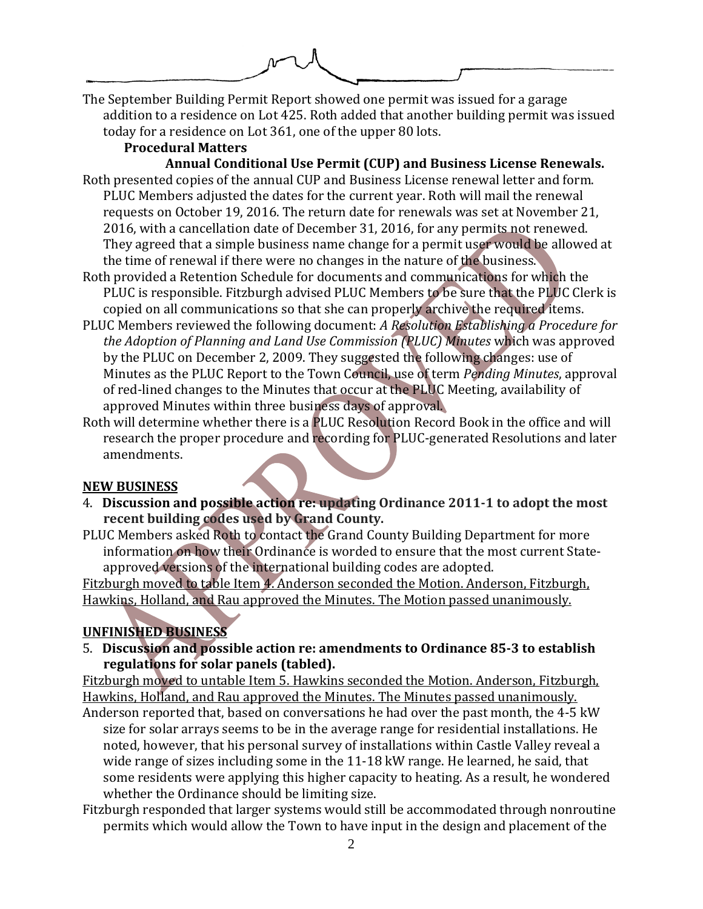The September Building Permit Report showed one permit was issued for a garage addition to a residence on Lot 425. Roth added that another building permit was issued today for a residence on Lot 361, one of the upper 80 lots.

# **Procedural Matters**

**Annual Conditional Use Permit (CUP) and Business License Renewals.** Roth presented copies of the annual CUP and Business License renewal letter and form. PLUC Members adjusted the dates for the current year. Roth will mail the renewal requests on October 19, 2016. The return date for renewals was set at November 21, 2016, with a cancellation date of December 31, 2016, for any permits not renewed. They agreed that a simple business name change for a permit user would be allowed at the time of renewal if there were no changes in the nature of the business.

- Roth provided a Retention Schedule for documents and communications for which the PLUC is responsible. Fitzburgh advised PLUC Members to be sure that the PLUC Clerk is copied on all communications so that she can properly archive the required items.
- PLUC Members reviewed the following document: *A Resolution Establishing a Procedure for the Adoption of Planning and Land Use Commission (PLUC) Minutes* which was approved by the PLUC on December 2, 2009. They suggested the following changes: use of Minutes as the PLUC Report to the Town Council, use of term *Pending Minutes*, approval of red-lined changes to the Minutes that occur at the PLUC Meeting, availability of approved Minutes within three business days of approval.
- Roth will determine whether there is a PLUC Resolution Record Book in the office and will research the proper procedure and recording for PLUC-generated Resolutions and later amendments.

## **NEW BUSINESS**

- 4. **Discussion and possible action re: updating Ordinance 2011-1 to adopt the most recent building codes used by Grand County.**
- PLUC Members asked Roth to contact the Grand County Building Department for more information on how their Ordinance is worded to ensure that the most current Stateapproved versions of the international building codes are adopted.

Fitzburgh moved to table Item 4. Anderson seconded the Motion. Anderson, Fitzburgh, Hawkins, Holland, and Rau approved the Minutes. The Motion passed unanimously.

# **UNFINISHED BUSINESS**

5. **Discussion and possible action re: amendments to Ordinance 85-3 to establish regulations for solar panels (tabled).**

Fitzburgh moved to untable Item 5. Hawkins seconded the Motion. Anderson, Fitzburgh, Hawkins, Holland, and Rau approved the Minutes. The Minutes passed unanimously. Anderson reported that, based on conversations he had over the past month, the 4-5 kW

size for solar arrays seems to be in the average range for residential installations. He noted, however, that his personal survey of installations within Castle Valley reveal a wide range of sizes including some in the 11-18 kW range. He learned, he said, that some residents were applying this higher capacity to heating. As a result, he wondered whether the Ordinance should be limiting size.

Fitzburgh responded that larger systems would still be accommodated through nonroutine permits which would allow the Town to have input in the design and placement of the